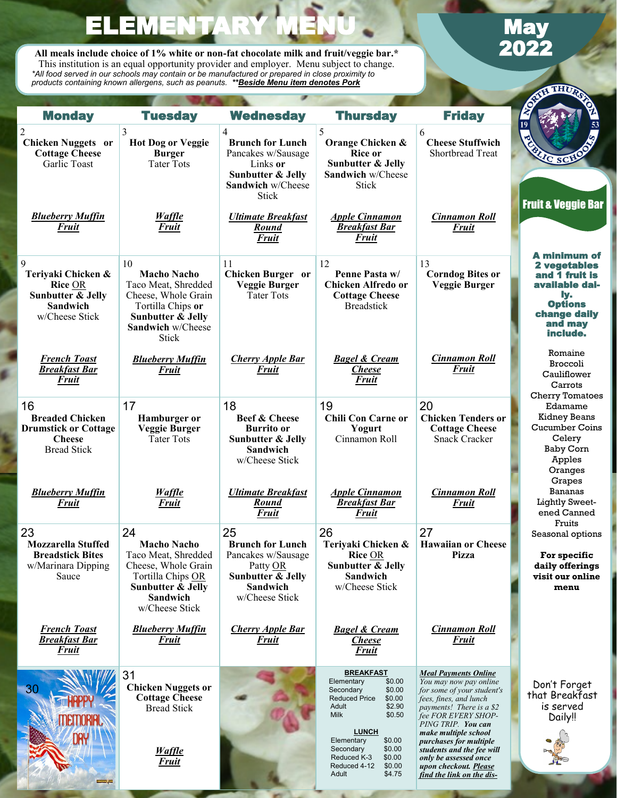**All meals include choice of 1% white or non-fat chocolate milk and fruit/veggie bar.\*** This institution is an equal opportunity provider and employer. Menu subject to change. *\*All food served in our schools may contain or be manufactured or prepared in close proximity to products containing known allergens, such as peanuts. \*\*Beside Menu item denotes Pork*

ELEMENTAR

j

B

# **May**<br>2022

**THUP** 

| <b>Monday</b>                                                                                           | <b>Tuesday</b>                                                                                                                                                   | <b>Wednesday</b>                                                                                                                    | <b>Thursday</b>                                                                                                                                                                                                                                                                    | <b>Friday</b>                                                                                                                                                                                                                                                                                                                                        | <b>ASSET</b><br>120AD<br>53                                                                                                      |
|---------------------------------------------------------------------------------------------------------|------------------------------------------------------------------------------------------------------------------------------------------------------------------|-------------------------------------------------------------------------------------------------------------------------------------|------------------------------------------------------------------------------------------------------------------------------------------------------------------------------------------------------------------------------------------------------------------------------------|------------------------------------------------------------------------------------------------------------------------------------------------------------------------------------------------------------------------------------------------------------------------------------------------------------------------------------------------------|----------------------------------------------------------------------------------------------------------------------------------|
| $\overline{c}$<br><b>Chicken Nuggets or</b><br><b>Cottage Cheese</b><br>Garlic Toast                    | 3<br><b>Hot Dog or Veggie</b><br><b>Burger</b><br><b>Tater Tots</b>                                                                                              | 4<br><b>Brunch for Lunch</b><br>Pancakes w/Sausage<br>Links or<br><b>Sunbutter &amp; Jelly</b><br>Sandwich w/Cheese<br><b>Stick</b> | 5<br>Orange Chicken &<br>Rice or<br>Sunbutter & Jelly<br>Sandwich w/Cheese<br><b>Stick</b>                                                                                                                                                                                         | 6<br><b>Cheese Stuffwich</b><br>Shortbread Treat                                                                                                                                                                                                                                                                                                     | LIC SCH<br><b>Fruit &amp; Veggie Bar</b>                                                                                         |
| <b>Blueberry Muffin</b><br>Fruit                                                                        | <b>Waffle</b><br>Fruit                                                                                                                                           | <b>Ultimate Breakfast</b><br><b>Round</b><br><b>Fruit</b>                                                                           | <b>Apple Cinnamon</b><br><b>Breakfast Bar</b><br><b>Fruit</b>                                                                                                                                                                                                                      | <b>Cinnamon Roll</b><br><b>Fruit</b>                                                                                                                                                                                                                                                                                                                 |                                                                                                                                  |
| 9<br>Teriyaki Chicken &<br><b>Rice OR</b><br><b>Sunbutter &amp; Jelly</b><br>Sandwich<br>w/Cheese Stick | 10<br><b>Macho Nacho</b><br>Taco Meat, Shredded<br>Cheese, Whole Grain<br>Tortilla Chips or<br><b>Sunbutter &amp; Jelly</b><br>Sandwich w/Cheese<br><b>Stick</b> | 11<br>Chicken Burger or<br>Veggie Burger<br><b>Tater Tots</b>                                                                       | 12<br>Penne Pasta w/<br><b>Chicken Alfredo or</b><br><b>Cottage Cheese</b><br><b>Breadstick</b>                                                                                                                                                                                    | 13<br><b>Corndog Bites or</b><br><b>Veggie Burger</b>                                                                                                                                                                                                                                                                                                | A minimum of<br>2 vegetables<br>and 1 fruit is<br>available dai-<br>ly.<br><b>Options</b><br>change daily<br>and may<br>include. |
| <b>French Toast</b><br><b>Breakfast Bar</b><br><u>Fruit</u>                                             | <b>Blueberry Muffin</b><br><b>Fruit</b>                                                                                                                          | <b>Cherry Apple Bar</b><br>Fruit                                                                                                    | <b>Bagel &amp; Cream</b><br><b>Cheese</b><br><b>Fruit</b>                                                                                                                                                                                                                          | <b>Cinnamon Roll</b><br><b>Fruit</b>                                                                                                                                                                                                                                                                                                                 | Romaine<br><b>Broccoli</b><br>Cauliflower<br>Carrots<br><b>Cherry Tomatoes</b>                                                   |
| 16<br><b>Breaded Chicken</b><br><b>Drumstick or Cottage</b><br><b>Cheese</b><br><b>Bread Stick</b>      | 17<br>Hamburger or<br><b>Veggie Burger</b><br><b>Tater Tots</b>                                                                                                  | 18<br><b>Beef &amp; Cheese</b><br><b>Burrito or</b><br><b>Sunbutter &amp; Jelly</b><br>Sandwich<br>w/Cheese Stick                   | 19<br>Chili Con Carne or<br>Yogurt<br>Cinnamon Roll                                                                                                                                                                                                                                | 20<br><b>Chicken Tenders or</b><br><b>Cottage Cheese</b><br>Snack Cracker                                                                                                                                                                                                                                                                            | Edamame<br><b>Kidney Beans</b><br><b>Cucumber Coins</b><br>Celery<br><b>Baby Corn</b><br>Apples<br>Oranges<br>Grapes             |
| <b>Blueberry Muffin</b><br><b>Fruit</b>                                                                 | <b>Waffle</b><br>Fruit                                                                                                                                           | <b>Ultimate Breakfast</b><br><b>Round</b><br><b>Fruit</b>                                                                           | <b>Apple Cinnamon</b><br><b>Breakfast Bar</b><br><u>Fruit</u>                                                                                                                                                                                                                      | <b>Cinnamon Roll</b><br><b>Fruit</b>                                                                                                                                                                                                                                                                                                                 | Bananas<br><b>Lightly Sweet-</b><br>ened Canned<br>Fruits                                                                        |
| 23<br><b>Mozzarella Stuffed</b><br><b>Breadstick Bites</b><br>w/Marinara Dipping<br>Sauce               | 24<br><b>Macho Nacho</b><br>Taco Meat, Shredded<br>Cheese, Whole Grain<br>Tortilla Chips OR<br>Sunbutter & Jelly<br>Sandwich<br>w/Cheese Stick                   | 25<br><b>Brunch for Lunch</b><br>Pancakes w/Sausage<br>Patty OR<br><b>Sunbutter &amp; Jelly</b><br>Sandwich<br>w/Cheese Stick       | 26<br>Teriyaki Chicken &<br><b>Rice OR</b><br><b>Sunbutter &amp; Jelly</b><br>Sandwich<br>w/Cheese Stick                                                                                                                                                                           | 27<br><b>Hawaiian or Cheese</b><br><b>Pizza</b>                                                                                                                                                                                                                                                                                                      | Seasonal options<br>For specific<br>daily offerings<br>visit our online<br>menu                                                  |
| <b>French Toast</b><br><b>Breakfast Bar</b><br><b>Fruit</b>                                             | <b>Blueberry Muffin</b><br><b>Fruit</b>                                                                                                                          | <b>Cherry Apple Bar</b><br><u>Fruit</u>                                                                                             | <b>Bagel &amp; Cream</b><br><u>Cheese</u><br>Fruit                                                                                                                                                                                                                                 | <b>Cinnamon Roll</b><br><u>Fruit</u>                                                                                                                                                                                                                                                                                                                 |                                                                                                                                  |
| 30<br>DAY                                                                                               | 31<br><b>Chicken Nuggets or</b><br><b>Cottage Cheese</b><br><b>Bread Stick</b><br><b>Waffle</b><br><b>Fruit</b>                                                  |                                                                                                                                     | <b>BREAKFAST</b><br>Elementary<br>\$0.00<br>Secondary<br>\$0.00<br>\$0.00<br><b>Reduced Price</b><br>Adult<br>\$2.90<br><b>Milk</b><br>\$0.50<br><b>LUNCH</b><br>\$0.00<br>Elementary<br>Secondary<br>\$0.00<br>Reduced K-3<br>\$0.00<br>Reduced 4-12<br>\$0.00<br>Adult<br>\$4.75 | <b>Meal Payments Online</b><br>You may now pay online<br>for some of your student's<br>fees, fines, and lunch<br>payments! There is a \$2<br>fee FOR EVERY SHOP-<br>PING TRIP. You can<br>make multiple school<br>purchases for multiple<br>students and the fee will<br>only be assessed once<br>upon checkout. Please<br>find the link on the dis- | Don't Forget<br>that Breakfast<br>is served<br>Daily!!                                                                           |